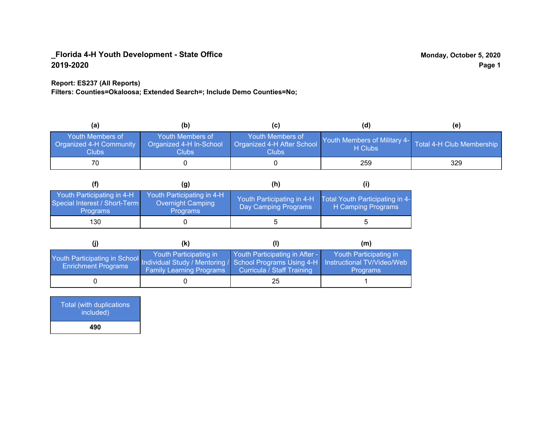### **Report: ES237 (All Reports)**

**Filters: Counties=Okaloosa; Extended Search=; Include Demo Counties=No;**

| (a)                                                                | (b)                                                  | (C)                                                       | (d)                                                               | (e) |
|--------------------------------------------------------------------|------------------------------------------------------|-----------------------------------------------------------|-------------------------------------------------------------------|-----|
| <b>Youth Members of</b><br><b>Organized 4-H Community</b><br>Clubs | Youth Members of<br>Organized 4-H In-School<br>Clubs | Youth Members of<br>Organized 4-H After School<br>Clubs : | Youth Members of Military 4- Total 4-H Club Membership<br>H Clubs |     |
|                                                                    |                                                      |                                                           | 259                                                               | 329 |

|                                                                                | (g)                                                                       | (h)                                                 |                                                       |
|--------------------------------------------------------------------------------|---------------------------------------------------------------------------|-----------------------------------------------------|-------------------------------------------------------|
| Youth Participating in 4-H<br>Special Interest / Short-Term<br><b>Programs</b> | Youth Participating in 4-H<br><b>Overnight Camping</b><br><b>Programs</b> | Youth Participating in 4-H,<br>Day Camping Programs | Total Youth Participating in 4-<br>H Camping Programs |
| 130                                                                            |                                                                           |                                                     |                                                       |

|                                                                                                                                                 | (K)                                                       |                                                                     | (m)                                       |
|-------------------------------------------------------------------------------------------------------------------------------------------------|-----------------------------------------------------------|---------------------------------------------------------------------|-------------------------------------------|
| Youth Participating in School Individual Study / Mentoring / School Programs Using 4-H Instructional TV/Video/Web<br><b>Enrichment Programs</b> | Youth Participating in<br><b>Family Learning Programs</b> | Youth Participating in After -<br><b>Curricula / Staff Training</b> | Youth Participating in<br><b>Programs</b> |
|                                                                                                                                                 |                                                           | 25                                                                  |                                           |

| <b>Total (with duplications)</b><br>included) |
|-----------------------------------------------|
| 490                                           |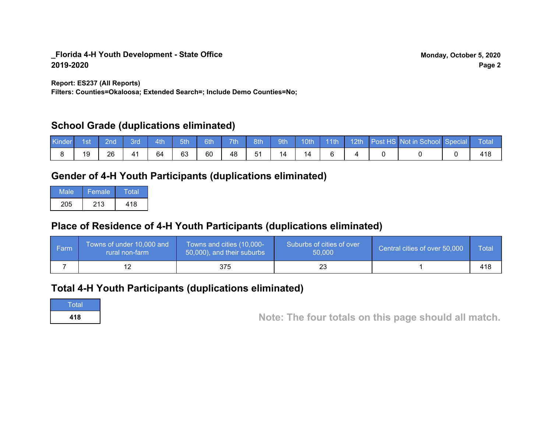**Report: ES237 (All Reports)**

**Filters: Counties=Okaloosa; Extended Search=; Include Demo Counties=No;**

### **School Grade (duplications eliminated)**

| Kinder | 1st | 2nd \ | <b>Brd</b> | $-4th$ | 5th | 6th | 7th | 8th | 9th | $10th$ 11th |  | 12th Post HS Not in School Special | <b>Total</b> |
|--------|-----|-------|------------|--------|-----|-----|-----|-----|-----|-------------|--|------------------------------------|--------------|
|        |     | 26    | 41         | 64     | 63  | 60  | 48  | 51  |     | 14          |  |                                    |              |

## **Gender of 4-H Youth Participants (duplications eliminated)**

| Male | Female | Total |
|------|--------|-------|
| 205  | 213    | 418   |

## **Place of Residence of 4-H Youth Participants (duplications eliminated)**

| ∣ Farm | Towns of under 10,000 and<br>rural non-farm | Towns and cities (10,000-<br>50,000), and their suburbs | Suburbs of cities of over<br>50,000 | Central cities of over 50,000 | Total |
|--------|---------------------------------------------|---------------------------------------------------------|-------------------------------------|-------------------------------|-------|
|        |                                             | 375                                                     |                                     |                               | 418   |

### **Total 4-H Youth Participants (duplications eliminated)**

**Total** 

**<sup>418</sup> Note: The four totals on this page should all match.**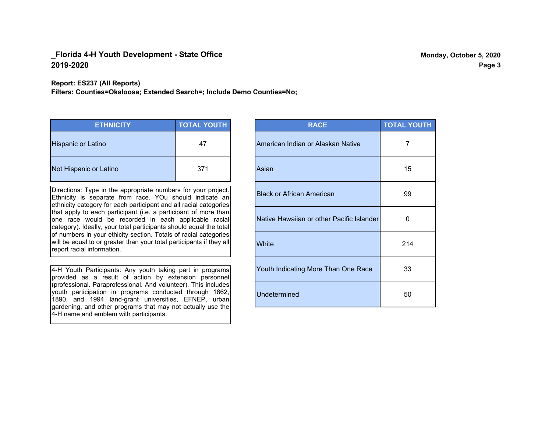**Report: ES237 (All Reports)**

**Filters: Counties=Okaloosa; Extended Search=; Include Demo Counties=No;**

| <b>ETHNICITY</b>          | <b>TOTAL YOUTH</b> |
|---------------------------|--------------------|
| <b>Hispanic or Latino</b> | 47                 |
| Not Hispanic or Latino    | 371                |

Directions: Type in the appropriate numbers for your project. Ethnicity is separate from race. YOu should indicate an ethnicity category for each participant and all racial categories that apply to each participant (i.e. a participant of more than one race would be recorded in each applicable racial category). Ideally, your total participants should equal the total of numbers in your ethicity section. Totals of racial categories will be equal to or greater than your total participants if they all report racial information.

4-H Youth Participants: Any youth taking part in programs provided as a result of action by extension personnel (professional. Paraprofessional. And volunteer). This includes youth participation in programs conducted through 1862, 1890, and 1994 land-grant universities, EFNEP, urban gardening, and other programs that may not actually use the 4-H name and emblem with participants.

| <b>RACE</b>                               | <b>TOTAL YOUTH</b> |
|-------------------------------------------|--------------------|
| American Indian or Alaskan Native         | 7                  |
| Asian                                     | 15                 |
| <b>Black or African American</b>          | 99                 |
| Native Hawaiian or other Pacific Islander | 0                  |
| White                                     | 214                |
| Youth Indicating More Than One Race       | 33                 |
| <b>Undetermined</b>                       | 50                 |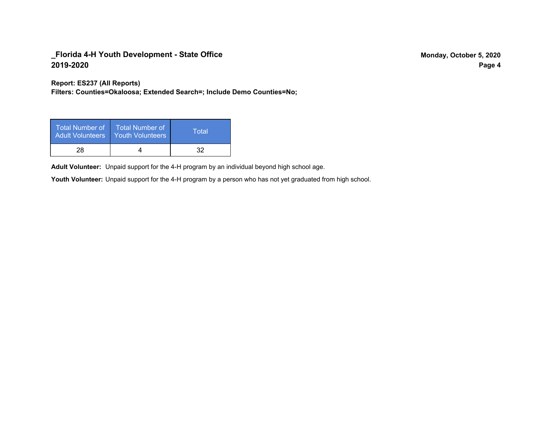**Report: ES237 (All Reports)**

**Filters: Counties=Okaloosa; Extended Search=; Include Demo Counties=No;**

| Total Number of<br><b>Adult Volunteers</b> | <b>Total Number of</b><br><b>Youth Volunteers</b> | Total |
|--------------------------------------------|---------------------------------------------------|-------|
| 28                                         |                                                   | 32    |

Adult Volunteer: Unpaid support for the 4-H program by an individual beyond high school age.

Youth Volunteer: Unpaid support for the 4-H program by a person who has not yet graduated from high school.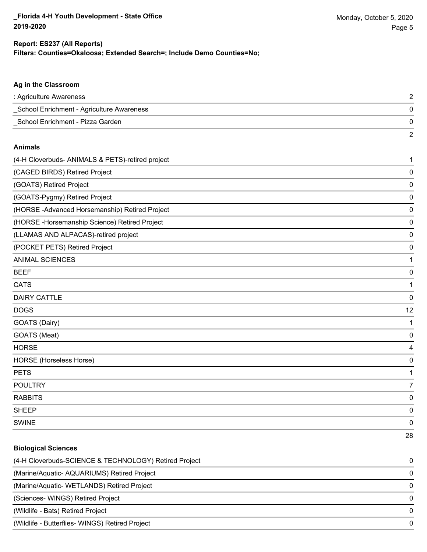#### **Filters: Counties=Okaloosa; Extended Search=; Include Demo Counties=No; Report: ES237 (All Reports)**

# **Ag in the Classroom** : Agriculture Awareness 2 \_School Enrichment - Agriculture Awareness 0 \_School Enrichment - Pizza Garden 0 2 **Animals** (4-H Cloverbuds- ANIMALS & PETS)-retired project 1 (CAGED BIRDS) Retired Project 0 (GOATS) Retired Project 0 (GOATS-Pygmy) Retired Project 0 (HORSE -Advanced Horsemanship) Retired Project 0 (HORSE -Horsemanship Science) Retired Project 0 (LLAMAS AND ALPACAS)-retired project 0 (POCKET PETS) Retired Project 0 ANIMAL SCIENCES **1** BEEF 0 cats and the contract of the contract of the contract of the contract of the contract of the contract of the contract of the contract of the contract of the contract of the contract of the contract of the contract of the c DAIRY CATTLE 0 DOGS 12 GOATS (Dairy) 1 GOATS (Meat) 0 HORSE 4 HORSE (Horseless Horse) 0 PETS and the contract of the contract of the contract of the contract of the contract of the contract of the contract of the contract of the contract of the contract of the contract of the contract of the contract of the c POULTRY **And the contract of the contract of the contract of the contract of the contract of the contract of the contract of the contract of the contract of the contract of the contract of the contract of the contract of t** RABBITS 0 sheep to the control of the control of the control of the control of the control of the control of the control of the control of the control of the control of the control of the control of the control of the control of the SWINE 0 28

## **Biological Sciences** (4-H Cloverbuds-SCIENCE & TECHNOLOGY) Retired Project 0 (Marine/Aquatic- AQUARIUMS) Retired Project 0 (Marine/Aquatic- WETLANDS) Retired Project 0 (Sciences- WINGS) Retired Project 0 (Wildlife - Bats) Retired Project 0 (Wildlife - Butterflies- WINGS) Retired Project 0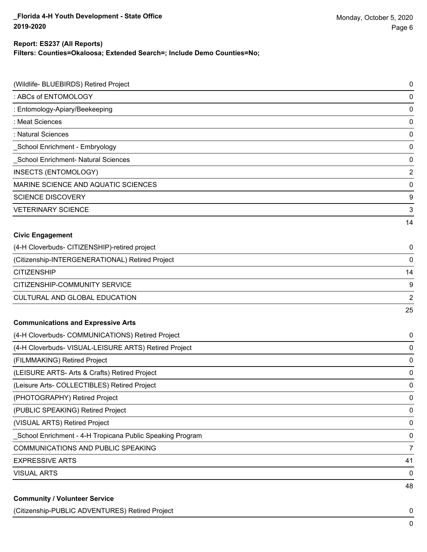## **Report: ES237 (All Reports)**

**Filters: Counties=Okaloosa; Extended Search=; Include Demo Counties=No;**

| (Wildlife- BLUEBIRDS) Retired Project                     | 0              |
|-----------------------------------------------------------|----------------|
| : ABCs of ENTOMOLOGY                                      | 0              |
| : Entomology-Apiary/Beekeeping                            | 0              |
| : Meat Sciences                                           | 0              |
| : Natural Sciences                                        | 0              |
| School Enrichment - Embryology                            | 0              |
| <b>School Enrichment- Natural Sciences</b>                | $\pmb{0}$      |
| <b>INSECTS (ENTOMOLOGY)</b>                               | $\overline{2}$ |
| MARINE SCIENCE AND AQUATIC SCIENCES                       | $\pmb{0}$      |
| <b>SCIENCE DISCOVERY</b>                                  | 9              |
| <b>VETERINARY SCIENCE</b>                                 | 3              |
|                                                           | 14             |
| <b>Civic Engagement</b>                                   |                |
| (4-H Cloverbuds- CITIZENSHIP)-retired project             | 0              |
| (Citizenship-INTERGENERATIONAL) Retired Project           | 0              |
| <b>CITIZENSHIP</b>                                        | 14             |
| CITIZENSHIP-COMMUNITY SERVICE                             | 9              |
| CULTURAL AND GLOBAL EDUCATION                             | $\overline{2}$ |
|                                                           | 25             |
| <b>Communications and Expressive Arts</b>                 |                |
| (4-H Cloverbuds- COMMUNICATIONS) Retired Project          | 0              |
| (4-H Cloverbuds- VISUAL-LEISURE ARTS) Retired Project     | 0              |
| (FILMMAKING) Retired Project                              | 0              |
| (LEISURE ARTS- Arts & Crafts) Retired Project             | 0              |
| (Leisure Arts- COLLECTIBLES) Retired Project              | 0              |
| (PHOTOGRAPHY) Retired Project                             | 0              |
| (PUBLIC SPEAKING) Retired Project                         | 0              |
| (VISUAL ARTS) Retired Project                             | 0              |
| School Enrichment - 4-H Tropicana Public Speaking Program | 0              |
| COMMUNICATIONS AND PUBLIC SPEAKING                        | $\overline{7}$ |
| <b>EXPRESSIVE ARTS</b>                                    | 41             |
| <b>VISUAL ARTS</b>                                        | 0              |
| <b>Community / Volunteer Service</b>                      | 48             |
|                                                           |                |

(Citizenship-PUBLIC ADVENTURES) Retired Project 0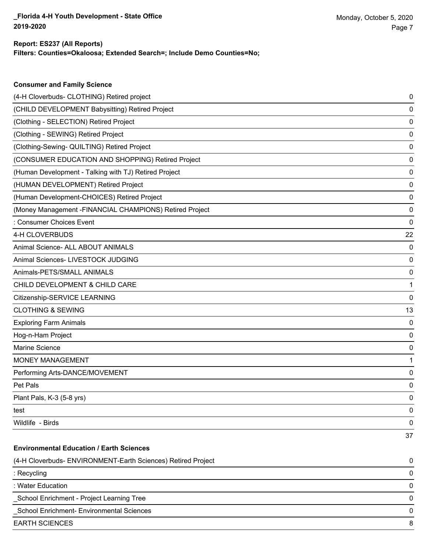**Consumer and Family Science**

### **Filters: Counties=Okaloosa; Extended Search=; Include Demo Counties=No; Report: ES237 (All Reports)**

| (4-H Cloverbuds- CLOTHING) Retired project                   | 0  |
|--------------------------------------------------------------|----|
| (CHILD DEVELOPMENT Babysitting) Retired Project              | 0  |
| (Clothing - SELECTION) Retired Project                       | 0  |
| (Clothing - SEWING) Retired Project                          | 0  |
| (Clothing-Sewing- QUILTING) Retired Project                  | 0  |
| (CONSUMER EDUCATION AND SHOPPING) Retired Project            | 0  |
| (Human Development - Talking with TJ) Retired Project        | 0  |
| (HUMAN DEVELOPMENT) Retired Project                          | 0  |
| (Human Development-CHOICES) Retired Project                  | 0  |
| (Money Management -FINANCIAL CHAMPIONS) Retired Project      | 0  |
| : Consumer Choices Event                                     | 0  |
| 4-H CLOVERBUDS                                               | 22 |
| Animal Science- ALL ABOUT ANIMALS                            | 0  |
| Animal Sciences- LIVESTOCK JUDGING                           | 0  |
| Animals-PETS/SMALL ANIMALS                                   | 0  |
| CHILD DEVELOPMENT & CHILD CARE                               | 1  |
| Citizenship-SERVICE LEARNING                                 | 0  |
| <b>CLOTHING &amp; SEWING</b>                                 | 13 |
| <b>Exploring Farm Animals</b>                                | 0  |
| Hog-n-Ham Project                                            | 0  |
| Marine Science                                               | 0  |
| MONEY MANAGEMENT                                             | 1  |
| Performing Arts-DANCE/MOVEMENT                               | 0  |
| Pet Pals                                                     | 0  |
| Plant Pals, K-3 (5-8 yrs)                                    | 0  |
| test                                                         | 0  |
| Wildlife - Birds                                             | 0  |
|                                                              | 37 |
| <b>Environmental Education / Earth Sciences</b>              |    |
| (4-H Cloverbuds- ENVIRONMENT-Earth Sciences) Retired Project | 0  |
| : Recycling                                                  | 0  |
| : Water Education                                            | 0  |
| School Enrichment - Project Learning Tree                    | 0  |
| School Enrichment- Environmental Sciences                    | 0  |
| <b>EARTH SCIENCES</b>                                        | 8  |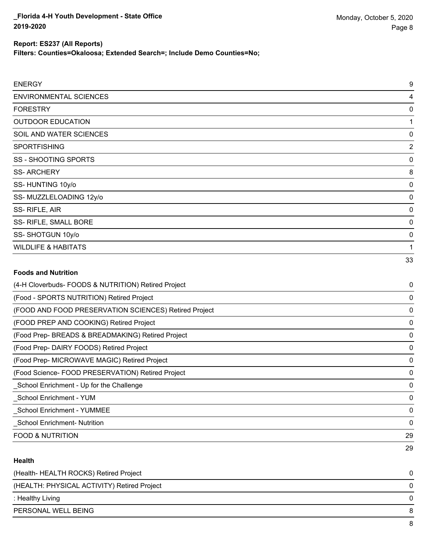### **Report: ES237 (All Reports)**

**Filters: Counties=Okaloosa; Extended Search=; Include Demo Counties=No;**

| <b>ENERGY</b>                                         | 9           |
|-------------------------------------------------------|-------------|
| <b>ENVIRONMENTAL SCIENCES</b>                         | 4           |
| <b>FORESTRY</b>                                       | 0           |
| <b>OUTDOOR EDUCATION</b>                              | 1           |
| SOIL AND WATER SCIENCES                               | 0           |
| <b>SPORTFISHING</b>                                   | 2           |
| SS - SHOOTING SPORTS                                  | 0           |
| <b>SS-ARCHERY</b>                                     | 8           |
| SS-HUNTING 10y/o                                      | 0           |
| SS-MUZZLELOADING 12y/o                                | 0           |
| SS-RIFLE, AIR                                         | 0           |
| SS- RIFLE, SMALL BORE                                 | 0           |
| SS-SHOTGUN 10y/o                                      | 0           |
| <b>WILDLIFE &amp; HABITATS</b>                        | 1           |
|                                                       | 33          |
| <b>Foods and Nutrition</b>                            |             |
| (4-H Cloverbuds- FOODS & NUTRITION) Retired Project   | 0           |
| (Food - SPORTS NUTRITION) Retired Project             | 0           |
| (FOOD AND FOOD PRESERVATION SCIENCES) Retired Project | 0           |
| (FOOD PREP AND COOKING) Retired Project               | 0           |
| (Food Prep- BREADS & BREADMAKING) Retired Project     | 0           |
| (Food Prep- DAIRY FOODS) Retired Project              | 0           |
| (Food Prep- MICROWAVE MAGIC) Retired Project          | $\mathbf 0$ |

(Food Science- FOOD PRESERVATION) Retired Project 0 \_School Enrichment - Up for the Challenge 0

\_School Enrichment - YUM 0

\_School Enrichment - YUMMEE 0

\_School Enrichment- Nutrition 0

FOOD & NUTRITION 29

#### **Health**

| (Health-HEALTH ROCKS) Retired Project       | 0 |
|---------------------------------------------|---|
| (HEALTH: PHYSICAL ACTIVITY) Retired Project | 0 |
| : Healthy Living                            | 0 |
| PERSONAL WELL BEING                         | 8 |
|                                             |   |

29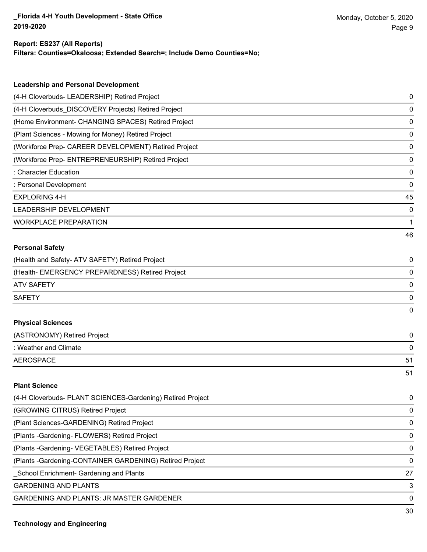#### **Report: ES237 (All Reports)**

**Filters: Counties=Okaloosa; Extended Search=; Include Demo Counties=No;**

| <b>Leadership and Personal Development</b>                 |    |
|------------------------------------------------------------|----|
| (4-H Cloverbuds- LEADERSHIP) Retired Project               | 0  |
| (4-H Cloverbuds_DISCOVERY Projects) Retired Project        | 0  |
| (Home Environment- CHANGING SPACES) Retired Project        | 0  |
| (Plant Sciences - Mowing for Money) Retired Project        | 0  |
| (Workforce Prep- CAREER DEVELOPMENT) Retired Project       | 0  |
| (Workforce Prep- ENTREPRENEURSHIP) Retired Project         | 0  |
| : Character Education                                      | 0  |
| : Personal Development                                     | 0  |
| <b>EXPLORING 4-H</b>                                       | 45 |
| LEADERSHIP DEVELOPMENT                                     | 0  |
| <b>WORKPLACE PREPARATION</b>                               | 1  |
|                                                            | 46 |
| <b>Personal Safety</b>                                     |    |
| (Health and Safety- ATV SAFETY) Retired Project            | 0  |
| (Health- EMERGENCY PREPARDNESS) Retired Project            | 0  |
| <b>ATV SAFETY</b>                                          | 0  |
| <b>SAFETY</b>                                              | 0  |
|                                                            | 0  |
| <b>Physical Sciences</b>                                   |    |
| (ASTRONOMY) Retired Project                                | 0  |
| : Weather and Climate                                      | 0  |
| <b>AEROSPACE</b>                                           | 51 |
|                                                            | 51 |
| <b>Plant Science</b>                                       |    |
| (4-H Cloverbuds- PLANT SCIENCES-Gardening) Retired Project | 0  |
| (GROWING CITRUS) Retired Project                           | 0  |
| (Plant Sciences-GARDENING) Retired Project                 | 0  |
| (Plants - Gardening - FLOWERS) Retired Project             | 0  |
| (Plants - Gardening - VEGETABLES) Retired Project          | 0  |

(Plants -Gardening-CONTAINER GARDENING) Retired Project 0

\_School Enrichment- Gardening and Plants 27

GARDENING AND PLANTS 3

GARDENING AND PLANTS: JR MASTER GARDENER 0